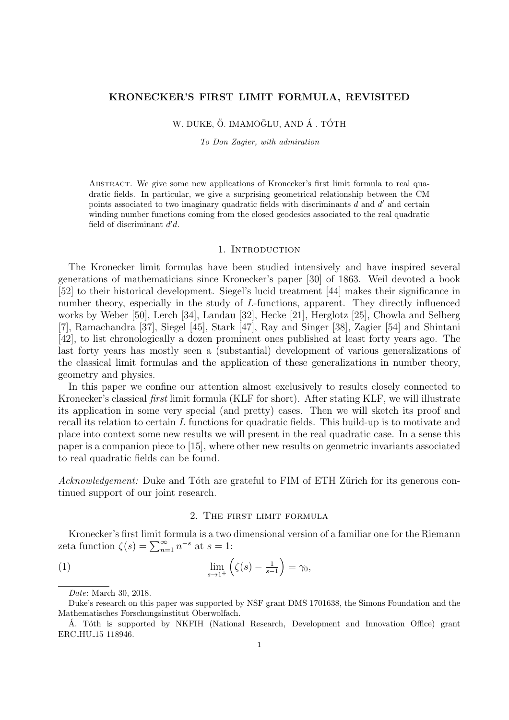#### **KRONECKER'S FIRST LIMIT FORMULA, REVISITED**

## W. DUKE, Ö. IMAMOĞLU, AND Á. TÓTH

*To Don Zagier, with admiration*

Abstract. We give some new applications of Kronecker's first limit formula to real quadratic fields. In particular, we give a surprising geometrical relationship between the CM points associated to two imaginary quadratic fields with discriminants *d* and *d ′* and certain winding number functions coming from the closed geodesics associated to the real quadratic field of discriminant *d ′d*.

#### 1. INTRODUCTION

The Kronecker limit formulas have been studied intensively and have inspired several generations of mathematicians since Kronecker's paper [30] of 1863. Weil devoted a book [52] to their historical development. Siegel's lucid treatment [44] makes their significance in number theory, especially in the study of *L*-functions, apparent. They directly influenced works by Weber [50], Lerch [34], Landau [32], Hecke [21], Herglotz [25], Chowla and Selberg [7], Ramachandra [37], Siegel [45], Stark [47], Ray and Singer [38], Zagier [54] and Shintani [42], to list chronologically a dozen prominent ones published at least forty years ago. The last forty years has mostly seen a (substantial) development of various generalizations of the classical limit formulas and the application of these generalizations in number theory, geometry and physics.

In this paper we confine our attention almost exclusively to results closely connected to Kronecker's classical *first* limit formula (KLF for short). After stating KLF, we will illustrate its application in some very special (and pretty) cases. Then we will sketch its proof and recall its relation to certain *L* functions for quadratic fields. This build-up is to motivate and place into context some new results we will present in the real quadratic case. In a sense this paper is a companion piece to [15], where other new results on geometric invariants associated to real quadratic fields can be found.

*Acknowledgement:* Duke and Tóth are grateful to FIM of ETH Zürich for its generous continued support of our joint research.

## 2. The first limit formula

Kronecker's first limit formula is a two dimensional version of a familiar one for the Riemann zeta function  $\zeta(s) = \sum_{n=1}^{\infty} n^{-s}$  at  $s = 1$ :

(1) 
$$
\lim_{s \to 1^+} \left( \zeta(s) - \frac{1}{s-1} \right) = \gamma_0,
$$

*Date*: March 30, 2018.

Duke's research on this paper was supported by NSF grant DMS 1701638, the Simons Foundation and the Mathematisches Forschungsinstitut Oberwolfach.

A. Tóth is supported by NKFIH (National Research, Development and Innovation Office) grant ERC HU 15 118946.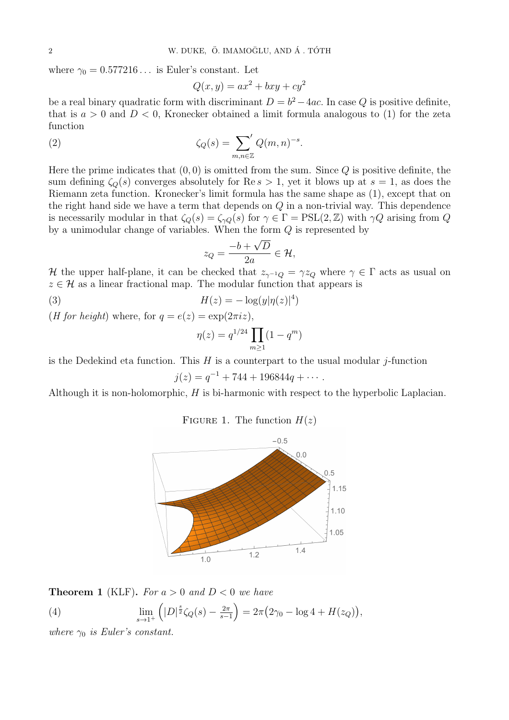where  $\gamma_0 = 0.577216...$  is Euler's constant. Let

$$
Q(x, y) = ax^2 + bxy + cy^2
$$

be a real binary quadratic form with discriminant  $D = b^2 - 4ac$ . In case Q is positive definite, that is  $a > 0$  and  $D < 0$ , Kronecker obtained a limit formula analogous to (1) for the zeta function

(2) 
$$
\zeta_Q(s) = \sum_{m,n \in \mathbb{Z}} Q(m,n)^{-s}.
$$

Here the prime indicates that (0*,* 0) is omitted from the sum. Since *Q* is positive definite, the sum defining  $\zeta_{\Omega}(s)$  converges absolutely for Re  $s > 1$ , yet it blows up at  $s = 1$ , as does the Riemann zeta function. Kronecker's limit formula has the same shape as (1), except that on the right hand side we have a term that depends on *Q* in a non-trivial way. This dependence is necessarily modular in that  $\zeta_Q(s) = \zeta_{\gamma Q}(s)$  for  $\gamma \in \Gamma = \text{PSL}(2, \mathbb{Z})$  with  $\gamma Q$  arising from *Q* by a unimodular change of variables. When the form *Q* is represented by

$$
z_Q = \frac{-b + \sqrt{D}}{2a} \in \mathcal{H},
$$

*H* the upper half-plane, it can be checked that  $z_{\gamma^{-1}Q} = \gamma z_Q$  where  $\gamma \in \Gamma$  acts as usual on  $z \in \mathcal{H}$  as a linear fractional map. The modular function that appears is

$$
H(z) = -\log(y|\eta(z)|^4)
$$

(*H* for height) where, for  $q = e(z) = \exp(2\pi i z)$ ,

$$
\eta(z) = q^{1/24} \prod_{m \ge 1} (1 - q^m)
$$

is the Dedekind eta function. This *H* is a counterpart to the usual modular *j*-function

$$
j(z) = q^{-1} + 744 + 196844q + \cdots.
$$

Although it is non-holomorphic, *H* is bi-harmonic with respect to the hyperbolic Laplacian.

## FIGURE 1. The function  $H(z)$



**Theorem 1** (KLF). For  $a > 0$  and  $D < 0$  we have

(4) 
$$
\lim_{s \to 1^+} \left( |D|^{\frac{s}{2}} \zeta_Q(s) - \frac{2\pi}{s-1} \right) = 2\pi \left( 2\gamma_0 - \log 4 + H(z_Q) \right),
$$

*where*  $\gamma_0$  *is Euler's constant.*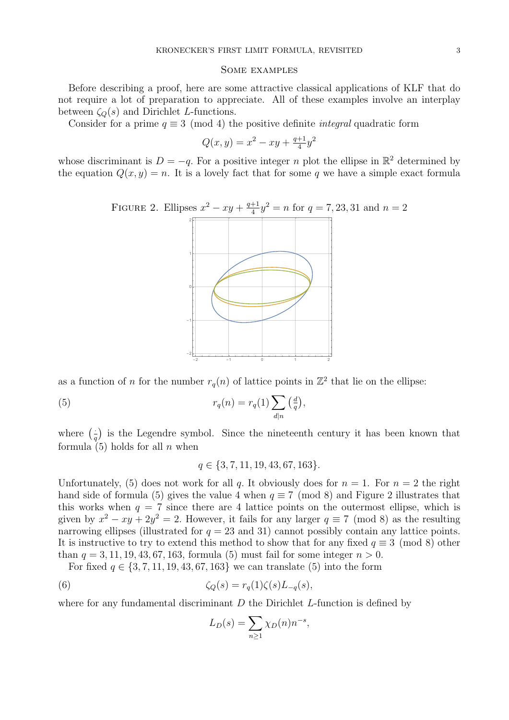#### Some examples

Before describing a proof, here are some attractive classical applications of KLF that do not require a lot of preparation to appreciate. All of these examples involve an interplay between  $\zeta_Q(s)$  and Dirichlet *L*-functions.

Consider for a prime  $q \equiv 3 \pmod{4}$  the positive definite *integral* quadratic form

$$
Q(x, y) = x^2 - xy + \frac{q+1}{4}y^2
$$

whose discriminant is  $D = -q$ . For a positive integer *n* plot the ellipse in  $\mathbb{R}^2$  determined by the equation  $Q(x, y) = n$ . It is a lovely fact that for some q we have a simple exact formula

FIGURE 2. Ellipses 
$$
x^2 - xy + \frac{q+1}{4}y^2 = n
$$
 for  $q = 7, 23, 31$  and  $n = 2$ 



as a function of *n* for the number  $r_q(n)$  of lattice points in  $\mathbb{Z}^2$  that lie on the ellipse:

(5) 
$$
r_q(n) = r_q(1) \sum_{d|n} \left(\frac{d}{q}\right),
$$

where  $\left(\frac{1}{q}\right)$  is the Legendre symbol. Since the nineteenth century it has been known that formula (5) holds for all *n* when

$$
q \in \{3, 7, 11, 19, 43, 67, 163\}.
$$

Unfortunately, (5) does not work for all *q*. It obviously does for  $n = 1$ . For  $n = 2$  the right hand side of formula (5) gives the value 4 when  $q \equiv 7 \pmod{8}$  and Figure 2 illustrates that this works when  $q = 7$  since there are 4 lattice points on the outermost ellipse, which is given by  $x^2 - xy + 2y^2 = 2$ . However, it fails for any larger  $q \equiv 7 \pmod{8}$  as the resulting narrowing ellipses (illustrated for  $q = 23$  and 31) cannot possibly contain any lattice points. It is instructive to try to extend this method to show that for any fixed  $q \equiv 3 \pmod{8}$  other than  $q = 3, 11, 19, 43, 67, 163$ , formula (5) must fail for some integer  $n > 0$ .

For fixed  $q \in \{3, 7, 11, 19, 43, 67, 163\}$  we can translate (5) into the form

(6) 
$$
\zeta_Q(s) = r_q(1)\zeta(s)L_{-q}(s),
$$

where for any fundamental discriminant *D* the Dirichlet *L*-function is defined by

$$
L_D(s) = \sum_{n \ge 1} \chi_D(n) n^{-s},
$$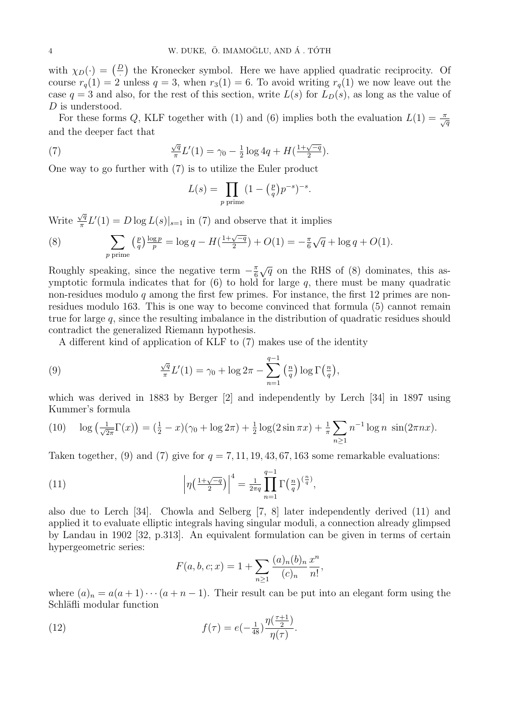with  $\chi_D(\cdot) = \left(\frac{D}{\cdot}\right)$  the Kronecker symbol. Here we have applied quadratic reciprocity. Of course  $r_q(1) = 2$  unless  $q = 3$ , when  $r_3(1) = 6$ . To avoid writing  $r_q(1)$  we now leave out the case  $q = 3$  and also, for the rest of this section, write  $L(s)$  for  $L<sub>D</sub>(s)$ , as long as the value of *D* is understood.

For these forms *Q*, KLF together with (1) and (6) implies both the evaluation  $L(1) = \frac{\pi}{\sqrt{q}}$ and the deeper fact that

(7) 
$$
\frac{\sqrt{q}}{\pi}L'(1) = \gamma_0 - \frac{1}{2}\log 4q + H(\frac{1+\sqrt{-q}}{2}).
$$

One way to go further with (7) is to utilize the Euler product

$$
L(s) = \prod_{p \text{ prime}} (1 - \left(\frac{p}{q}\right)p^{-s})^{-s}.
$$

Write  $\frac{\sqrt{q}}{\pi}$  $\frac{\sqrt{q}}{\pi}L'(1) = D \log L(s)|_{s=1}$  in (7) and observe that it implies

(8) 
$$
\sum_{p \text{ prime}} \left(\frac{p}{q}\right) \frac{\log p}{p} = \log q - H\left(\frac{1+\sqrt{-q}}{2}\right) + O(1) = -\frac{\pi}{6}\sqrt{q} + \log q + O(1).
$$

Roughly speaking, since the negative term  $-\frac{\pi}{6}$  $\frac{\pi}{6}\sqrt{q}$  on the RHS of (8) dominates, this asymptotic formula indicates that for (6) to hold for large *q*, there must be many quadratic non-residues modulo *q* among the first few primes. For instance, the first 12 primes are nonresidues modulo 163. This is one way to become convinced that formula (5) cannot remain true for large *q*, since the resulting imbalance in the distribution of quadratic residues should contradict the generalized Riemann hypothesis.

A different kind of application of KLF to (7) makes use of the identity

(9) 
$$
\frac{\sqrt{q}}{\pi}L'(1) = \gamma_0 + \log 2\pi - \sum_{n=1}^{q-1} \left(\frac{n}{q}\right) \log \Gamma\left(\frac{n}{q}\right),
$$

which was derived in 1883 by Berger [2] and independently by Lerch [34] in 1897 using Kummer's formula

(10) 
$$
\log\left(\frac{1}{\sqrt{2\pi}}\Gamma(x)\right) = \left(\frac{1}{2} - x\right)\left(\gamma_0 + \log 2\pi\right) + \frac{1}{2}\log(2\sin \pi x) + \frac{1}{\pi}\sum_{n\geq 1} n^{-1}\log n \, \sin(2\pi nx).
$$

Taken together, (9) and (7) give for  $q = 7, 11, 19, 43, 67, 163$  some remarkable evaluations:

(11) 
$$
\left|\eta\left(\frac{1+\sqrt{-q}}{2}\right)\right|^4 = \frac{1}{2\pi q} \prod_{n=1}^{q-1} \Gamma\left(\frac{n}{q}\right)^{\left(\frac{n}{q}\right)},
$$

also due to Lerch [34]. Chowla and Selberg [7, 8] later independently derived (11) and applied it to evaluate elliptic integrals having singular moduli, a connection already glimpsed by Landau in 1902 [32, p.313]. An equivalent formulation can be given in terms of certain hypergeometric series:

$$
F(a, b, c; x) = 1 + \sum_{n \ge 1} \frac{(a)_n (b)_n}{(c)_n} \frac{x^n}{n!},
$$

where  $(a)_n = a(a+1)\cdots(a+n-1)$ . Their result can be put into an elegant form using the Schläfli modular function

(12) 
$$
f(\tau) = e(-\frac{1}{48}) \frac{\eta(\frac{\tau+1}{2})}{\eta(\tau)}.
$$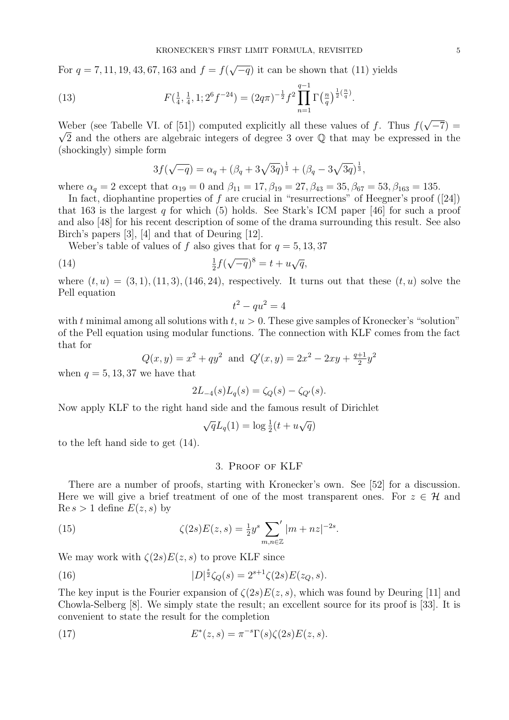For *q* = 7*,* 11*,* 19*,* 43*,* 67*,* 163 and *f* = *f*( *√ −q*) it can be shown that (11) yields

(13) 
$$
F(\frac{1}{4}, \frac{1}{4}, 1; 2^{6} f^{-24}) = (2q\pi)^{-\frac{1}{2}} f^{2} \prod_{n=1}^{q-1} \Gamma(\frac{n}{q})^{\frac{1}{2}(\frac{n}{q})}.
$$

Weber (see Tabelle VI. of [51]) computed explicitly all these values of *f*. Thus *f*( *√* Weber (see Tabelle VI. of [51]) computed explicitly all these values of f. Thus  $f(\sqrt{-7}) = \sqrt{2\pi}$  $\sqrt{2}$  and the others are algebraic integers of degree 3 over  $\mathbb Q$  that may be expressed in the (shockingly) simple form

$$
3f(\sqrt{-q}) = \alpha_q + (\beta_q + 3\sqrt{3q})^{\frac{1}{3}} + (\beta_q - 3\sqrt{3q})^{\frac{1}{3}},
$$

where  $\alpha_q = 2$  except that  $\alpha_{19} = 0$  and  $\beta_{11} = 17, \beta_{19} = 27, \beta_{43} = 35, \beta_{67} = 53, \beta_{163} = 135.$ 

In fact, diophantine properties of *f* are crucial in "resurrections" of Heegner's proof ([24]) that 163 is the largest *q* for which (5) holds. See Stark's ICM paper [46] for such a proof and also [48] for his recent description of some of the drama surrounding this result. See also Birch's papers [3], [4] and that of Deuring [12].

Weber's table of values of f also gives that for  $q = 5, 13, 37$ 

(14) 
$$
\frac{1}{2}f(\sqrt{-q})^8 = t + u\sqrt{q},
$$

where  $(t, u) = (3, 1), (11, 3), (146, 24)$ , respectively. It turns out that these  $(t, u)$  solve the Pell equation

$$
t^2 - qu^2 = 4
$$

with  $t$  minimal among all solutions with  $t, u > 0$ . These give samples of Kronecker's "solution" of the Pell equation using modular functions. The connection with KLF comes from the fact that for

$$
Q(x, y) = x2 + qy2
$$
 and  $Q'(x, y) = 2x2 - 2xy + \frac{q+1}{2}y2$ 

when  $q = 5, 13, 37$  we have that

$$
2L_{-4}(s)L_q(s) = \zeta_Q(s) - \zeta_{Q'}(s).
$$

Now apply KLF to the right hand side and the famous result of Dirichlet

$$
\sqrt{q}L_q(1) = \log \frac{1}{2}(t + u\sqrt{q})
$$

to the left hand side to get (14).

## 3. Proof of KLF

There are a number of proofs, starting with Kronecker's own. See [52] for a discussion. Here we will give a brief treatment of one of the most transparent ones. For  $z \in \mathcal{H}$  and  $\text{Re } s > 1$  define  $E(z, s)$  by

(15) 
$$
\zeta(2s)E(z,s) = \frac{1}{2}y^s \sum_{m,n \in \mathbb{Z}}^{\prime} |m + nz|^{-2s}.
$$

We may work with  $\zeta(2s)E(z, s)$  to prove KLF since

(16) 
$$
|D|^{\frac{s}{2}}\zeta_Q(s) = 2^{s+1}\zeta(2s)E(z_Q, s).
$$

The key input is the Fourier expansion of  $\zeta(2s)E(z, s)$ , which was found by Deuring [11] and Chowla-Selberg [8]. We simply state the result; an excellent source for its proof is [33]. It is convenient to state the result for the completion

(17) 
$$
E^*(z,s) = \pi^{-s} \Gamma(s) \zeta(2s) E(z,s).
$$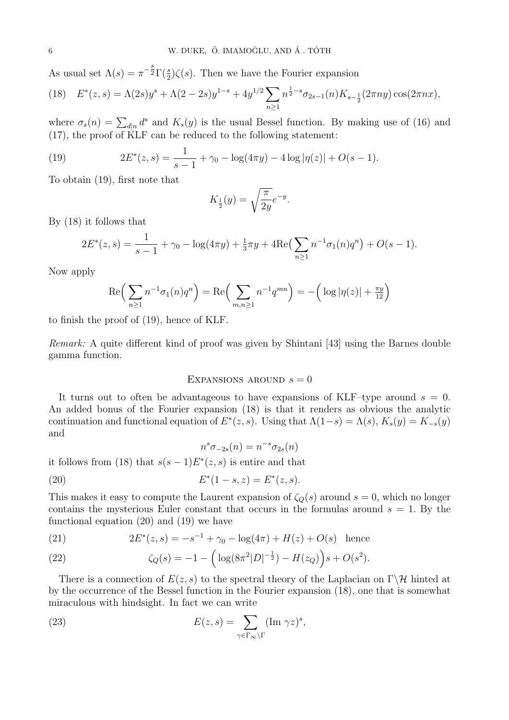As usual set  $\Lambda(s) = \pi^{-\frac{s}{2}} \Gamma(\frac{s}{2}) \zeta(s)$ . Then we have the Fourier expansion

$$
(18) \quad E^*(z,s) = \Lambda(2s)y^s + \Lambda(2-2s)y^{1-s} + 4y^{1/2} \sum_{n\geq 1} n^{\frac{1}{2}-s} \sigma_{2s-1}(n) K_{s-\frac{1}{2}}(2\pi ny) \cos(2\pi nx),
$$

where  $\sigma_s(n) = \sum_{d|n} d^s$  and  $K_s(y)$  is the usual Bessel function. By making use of (16) and (17), the proof of KLF can be reduced to the following statement:

(19) 
$$
2E^*(z,s) = \frac{1}{s-1} + \gamma_0 - \log(4\pi y) - 4\log|\eta(z)| + O(s-1).
$$

To obtain (19), first note that

$$
K_{\frac{1}{2}}(y) = \sqrt{\frac{\pi}{2y}}e^{-y}.
$$

By (18) it follows that

$$
2E^*(z,s) = \frac{1}{s-1} + \gamma_0 - \log(4\pi y) + \frac{1}{3}\pi y + 4\text{Re}\left(\sum_{n\geq 1} n^{-1}\sigma_1(n)q^n\right) + O(s-1).
$$

Now apply

$$
\operatorname{Re}\left(\sum_{n\geq 1} n^{-1}\sigma_1(n)q^n\right) = \operatorname{Re}\left(\sum_{m,n\geq 1} n^{-1}q^{mn}\right) = -\left(\log|\eta(z)| + \frac{\pi y}{12}\right)
$$

to finish the proof of (19), hence of KLF.

*Remark:* A quite different kind of proof was given by Shintani [43] using the Barnes double gamma function.

## EXPANSIONS AROUND  $s = 0$

It turns out to often be advantageous to have expansions of KLF–type around *s* = 0. An added bonus of the Fourier expansion (18) is that it renders as obvious the analytic continuation and functional equation of  $E^*(z, s)$ . Using that  $\Lambda(1-s) = \Lambda(s)$ ,  $K_s(y) = K_{-s}(y)$ and

$$
n^s \sigma_{-2s}(n) = n^{-s} \sigma_{2s}(n)
$$

it follows from (18) that  $s(s-1)E^*(z, s)$  is entire and that

(20) 
$$
E^*(1-s, z) = E^*(z, s).
$$

This makes it easy to compute the Laurent expansion of  $\zeta_Q(s)$  around  $s = 0$ , which no longer contains the mysterious Euler constant that occurs in the formulas around  $s = 1$ . By the functional equation (20) and (19) we have

(21) 
$$
2E^*(z,s) = -s^{-1} + \gamma_0 - \log(4\pi) + H(z) + O(s)
$$
 hence

(22) 
$$
\zeta_Q(s) = -1 - \left( \log(8\pi^2|D|^{-\frac{1}{2}}) - H(z_Q) \right) s + O(s^2).
$$

There is a connection of *E*(*z, s*) to the spectral theory of the Laplacian on Γ*\H* hinted at by the occurrence of the Bessel function in the Fourier expansion (18), one that is somewhat miraculous with hindsight. In fact we can write

(23) 
$$
E(z,s) = \sum_{\gamma \in \Gamma_{\infty} \backslash \Gamma} (\text{Im } \gamma z)^s,
$$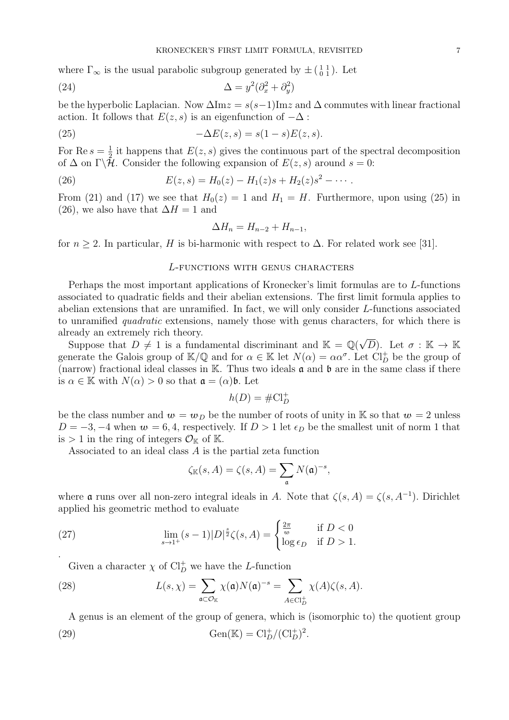where  $\Gamma_{\infty}$  is the usual parabolic subgroup generated by  $\pm \left(\begin{smallmatrix} 1 & 1 \\ 0 & 1 \end{smallmatrix}\right)$ . Let

(24) 
$$
\Delta = y^2(\partial_x^2 + \partial_y^2)
$$

be the hyperbolic Laplacian. Now  $\Delta \text{Im} z = s(s-1) \text{Im} z$  and  $\Delta$  commutes with linear fractional action. It follows that  $E(z, s)$  is an eigenfunction of  $-\Delta$ :

(25) 
$$
-\Delta E(z,s) = s(1-s)E(z,s).
$$

For Re  $s=\frac{1}{2}$  $\frac{1}{2}$  it happens that  $E(z, s)$  gives the continuous part of the spectral decomposition of  $\Delta$  on  $\Gamma\backslash\mathcal{H}$ . Consider the following expansion of  $E(z, s)$  around  $s = 0$ :

(26) 
$$
E(z,s) = H_0(z) - H_1(z)s + H_2(z)s^2 - \cdots
$$

From (21) and (17) we see that  $H_0(z) = 1$  and  $H_1 = H$ . Furthermore, upon using (25) in (26), we also have that  $\Delta H = 1$  and

$$
\Delta H_n = H_{n-2} + H_{n-1},
$$

for  $n \geq 2$ . In particular, *H* is bi-harmonic with respect to  $\Delta$ . For related work see [31].

## *L*-functions with genus characters

Perhaps the most important applications of Kronecker's limit formulas are to *L*-functions associated to quadratic fields and their abelian extensions. The first limit formula applies to abelian extensions that are unramified. In fact, we will only consider *L*-functions associated to unramified *quadratic* extensions, namely those with genus characters, for which there is already an extremely rich theory. *√*

Suppose that  $D \neq 1$  is a fundamental discriminant and  $\mathbb{K} = \mathbb{Q}$ *D*). Let  $\sigma : \mathbb{K} \to \mathbb{K}$ generate the Galois group of  $\mathbb{K}/\mathbb{Q}$  and for  $\alpha \in \mathbb{K}$  let  $N(\alpha) = \alpha \alpha^{\sigma}$ . Let  $\text{Cl}_{D}^{+}$  be the group of (narrow) fractional ideal classes in  $\mathbb K$ . Thus two ideals  $\mathfrak a$  and  $\mathfrak b$  are in the same class if there is  $\alpha \in \mathbb{K}$  with  $N(\alpha) > 0$  so that  $\mathfrak{a} = (\alpha)\mathfrak{b}$ . Let

$$
h(D)=\#\mathrm{Cl}_D^+
$$

be the class number and  $w = w_D$  be the number of roots of unity in K so that  $w = 2$  unless  $D = -3, -4$  when  $w = 6, 4$ , respectively. If  $D > 1$  let  $\epsilon_D$  be the smallest unit of norm 1 that is  $> 1$  in the ring of integers  $\mathcal{O}_{\mathbb{K}}$  of  $\mathbb{K}$ .

Associated to an ideal class *A* is the partial zeta function

$$
\zeta_{\mathbb{K}}(s, A) = \zeta(s, A) = \sum_{\mathfrak{a}} N(\mathfrak{a})^{-s},
$$

where **a** runs over all non-zero integral ideals in *A*. Note that  $\zeta(s, A) = \zeta(s, A^{-1})$ . Dirichlet applied his geometric method to evaluate

(27) 
$$
\lim_{s \to 1^+} (s-1)|D|^{\frac{s}{2}} \zeta(s, A) = \begin{cases} \frac{2\pi}{w} & \text{if } D < 0\\ \log \epsilon_D & \text{if } D > 1. \end{cases}
$$

Given a character  $\chi$  of  $Cl_D^+$  we have the *L*-function

(28) 
$$
L(s,\chi)=\sum_{\mathfrak{a}\subset\mathcal{O}_{\mathbb{K}}}\chi(\mathfrak{a})N(\mathfrak{a})^{-s}=\sum_{A\in\mathrm{Cl}_{D}^{+}}\chi(A)\zeta(s,A).
$$

A genus is an element of the group of genera, which is (isomorphic to) the quotient group (29) Gen(K) =  $Cl_D^+/(Cl_D^+)^2$ .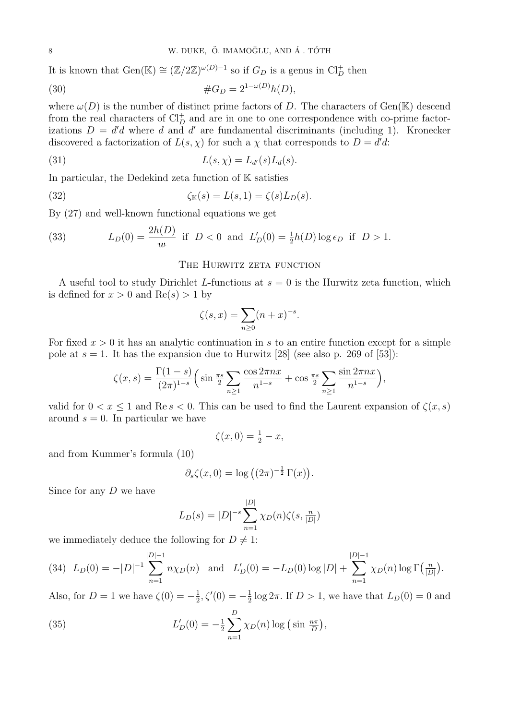It is known that  $Gen(\mathbb{K}) \cong (\mathbb{Z}/2\mathbb{Z})^{\omega(D)-1}$  so if  $G_D$  is a genus in  $Cl_D^+$  then

(30) 
$$
\#G_D = 2^{1-\omega(D)}h(D),
$$

where  $\omega(D)$  is the number of distinct prime factors of *D*. The characters of Gen(K) descend from the real characters of  $Cl_D^+$  and are in one to one correspondence with co-prime factorizations  $D = d'd$  where *d* and *d'* are fundamental discriminants (including 1). Kronecker discovered a factorization of  $L(s, \chi)$  for such a  $\chi$  that corresponds to  $D = d'd$ :

(31) 
$$
L(s, \chi) = L_{d'}(s) L_d(s).
$$

In particular, the Dedekind zeta function of  $K$  satisfies

(32) 
$$
\zeta_{\mathbb{K}}(s) = L(s,1) = \zeta(s)L_D(s).
$$

By (27) and well-known functional equations we get

(33) 
$$
L_D(0) = \frac{2h(D)}{w} \text{ if } D < 0 \text{ and } L'_D(0) = \frac{1}{2}h(D)\log \epsilon_D \text{ if } D > 1.
$$

#### THE HURWITZ ZETA FUNCTION

A useful tool to study Dirichlet *L*-functions at *s* = 0 is the Hurwitz zeta function, which is defined for  $x > 0$  and  $Re(s) > 1$  by

$$
\zeta(s,x) = \sum_{n\geq 0} (n+x)^{-s}.
$$

For fixed  $x > 0$  it has an analytic continuation in *s* to an entire function except for a simple pole at  $s = 1$ . It has the expansion due to Hurwitz [28] (see also p. 269 of [53]):

$$
\zeta(x,s) = \frac{\Gamma(1-s)}{(2\pi)^{1-s}} \left( \sin \frac{\pi s}{2} \sum_{n\geq 1} \frac{\cos 2\pi nx}{n^{1-s}} + \cos \frac{\pi s}{2} \sum_{n\geq 1} \frac{\sin 2\pi nx}{n^{1-s}} \right),\,
$$

valid for  $0 < x < 1$  and  $\text{Re } s < 0$ . This can be used to find the Laurent expansion of  $\zeta(x, s)$ around  $s = 0$ . In particular we have

$$
\zeta(x,0) = \frac{1}{2} - x,
$$

and from Kummer's formula (10)

$$
\partial_s \zeta(x,0) = \log \left( (2\pi)^{-\frac{1}{2}} \Gamma(x) \right).
$$

Since for any *D* we have

$$
L_D(s) = |D|^{-s} \sum_{n=1}^{|D|} \chi_D(n)\zeta(s, \frac{n}{|D|})
$$

we immediately deduce the following for  $D \neq 1$ :

(34) 
$$
L_D(0) = -|D|^{-1} \sum_{n=1}^{|D|-1} n \chi_D(n)
$$
 and  $L'_D(0) = -L_D(0) \log |D| + \sum_{n=1}^{|D|-1} \chi_D(n) \log \Gamma(\frac{n}{|D|}).$ 

Also, for  $D = 1$  we have  $\zeta(0) = -\frac{1}{2}$  $\frac{1}{2}, \zeta'(0) = -\frac{1}{2}$  $\frac{1}{2}$  log  $2\pi$ . If  $D > 1$ , we have that  $L_D(0) = 0$  and

(35) 
$$
L'_{D}(0) = -\frac{1}{2} \sum_{n=1}^{D} \chi_{D}(n) \log \left( \sin \frac{n\pi}{D} \right),
$$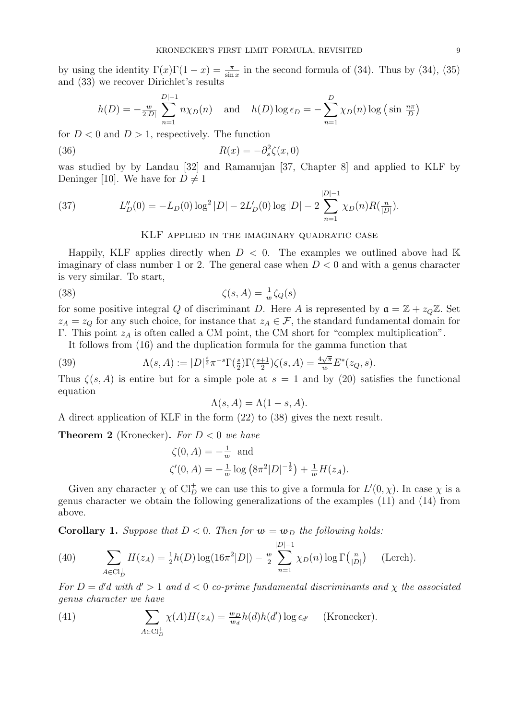by using the identity  $\Gamma(x)\Gamma(1-x) = \frac{\pi}{\sin x}$  in the second formula of (34). Thus by (34), (35) and (33) we recover Dirichlet's results

$$
h(D) = -\frac{w}{2|D|} \sum_{n=1}^{|D|-1} n\chi_D(n) \quad \text{and} \quad h(D) \log \epsilon_D = -\sum_{n=1}^D \chi_D(n) \log \left(\sin \frac{n\pi}{D}\right)
$$

for  $D < 0$  and  $D > 1$ , respectively. The function

(36) 
$$
R(x) = -\partial_s^2 \zeta(x,0)
$$

was studied by by Landau [32] and Ramanujan [37, Chapter 8] and applied to KLF by Deninger [10]. We have for  $D \neq 1$ 

(37) 
$$
L''_D(0) = -L_D(0) \log^2 |D| - 2L'_D(0) \log |D| - 2 \sum_{n=1}^{|D|-1} \chi_D(n) R(\frac{n}{|D|}).
$$

## KLF applied in the imaginary quadratic case

Happily, KLF applies directly when  $D < 0$ . The examples we outlined above had K imaginary of class number 1 or 2. The general case when  $D < 0$  and with a genus character is very similar. To start,

(38) 
$$
\zeta(s, A) = \frac{1}{w} \zeta_Q(s)
$$

for some positive integral *Q* of discriminant *D*. Here *A* is represented by  $a = \mathbb{Z} + z<sub>Q</sub>\mathbb{Z}$ . Set  $z_A = z_Q$  for any such choice, for instance that  $z_A \in \mathcal{F}$ , the standard fundamental domain for Γ. This point *z<sup>A</sup>* is often called a CM point, the CM short for "complex multiplication".

It follows from (16) and the duplication formula for the gamma function that

(39) 
$$
\Lambda(s, A) := |D|^{\frac{s}{2}} \pi^{-s} \Gamma(\frac{s}{2}) \Gamma(\frac{s+1}{2}) \zeta(s, A) = \frac{4\sqrt{\pi}}{w} E^*(z_Q, s).
$$

Thus  $\zeta(s, A)$  is entire but for a simple pole at  $s = 1$  and by (20) satisfies the functional equation

$$
\Lambda(s, A) = \Lambda(1 - s, A).
$$

A direct application of KLF in the form (22) to (38) gives the next result.

**Theorem 2** (Kronecker). For  $D < 0$  we have

$$
\zeta(0, A) = -\frac{1}{w} \text{ and}
$$
  

$$
\zeta'(0, A) = -\frac{1}{w} \log (8\pi^2 |D|^{-\frac{1}{2}}) + \frac{1}{w} H(z_A).
$$

Given any character  $\chi$  of  $Cl_D^+$  we can use this to give a formula for  $L'(0, \chi)$ . In case  $\chi$  is a genus character we obtain the following generalizations of the examples (11) and (14) from above.

**Corollary 1.** *Suppose that*  $D < 0$ *. Then for*  $w = w_D$  *the following holds:* 

(40) 
$$
\sum_{A \in \text{Cl}_D^+} H(z_A) = \frac{1}{2}h(D)\log(16\pi^2|D|) - \frac{w}{2}\sum_{n=1}^{|D|-1} \chi_D(n)\log\Gamma(\frac{n}{|D|}) \quad \text{(Lerch)}.
$$

*For*  $D = d'd$  *with*  $d' > 1$  *and*  $d < 0$  *co-prime fundamental discriminants and*  $\chi$  *the associated genus character we have*

(41) 
$$
\sum_{A \in \text{Cl}_D^+} \chi(A)H(z_A) = \frac{w_D}{w_d} h(d)h(d') \log \epsilon_{d'}
$$
 (Kronecker).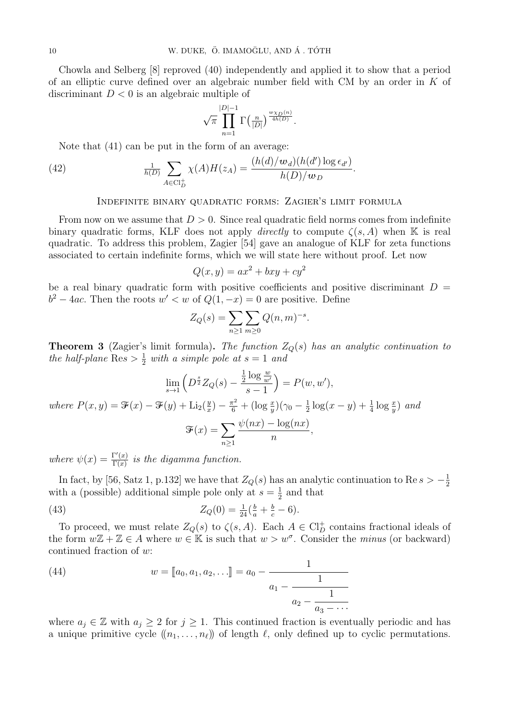Chowla and Selberg [8] reproved (40) independently and applied it to show that a period of an elliptic curve defined over an algebraic number field with CM by an order in *K* of discriminant *D <* 0 is an algebraic multiple of

$$
\sqrt{\pi}\prod_{n=1}^{|D|-1}\Gamma\left(\tfrac{n}{|D|}\right)^{\frac{w\chi_D(n)}{4h(D)}}.
$$

Note that (41) can be put in the form of an average:

(42) 
$$
\frac{1}{h(D)} \sum_{A \in \text{Cl}_D^+} \chi(A) H(z_A) = \frac{(h(d)/w_d)(h(d') \log \epsilon_{d'})}{h(D)/w_D}.
$$

## Indefinite binary quadratic forms: Zagier's limit formula

From now on we assume that  $D > 0$ . Since real quadratic field norms comes from indefinite binary quadratic forms, KLF does not apply *directly* to compute  $\zeta(s, A)$  when K is real quadratic. To address this problem, Zagier [54] gave an analogue of KLF for zeta functions associated to certain indefinite forms, which we will state here without proof. Let now

$$
Q(x, y) = ax^2 + bxy + cy^2
$$

be a real binary quadratic form with positive coefficients and positive discriminant  $D =$  $b^2 - 4ac$ . Then the roots  $w' < w$  of  $Q(1, -x) = 0$  are positive. Define

$$
Z_Q(s) = \sum_{n \ge 1} \sum_{m \ge 0} Q(n, m)^{-s}.
$$

**Theorem 3** (Zagier's limit formula)**.** *The function ZQ*(*s*) *has an analytic continuation to the half-plane*  $\text{Res} > \frac{1}{2}$  *with a simple pole at*  $s = 1$  *and* 

$$
\lim_{s \to 1} \left( D^{\frac{s}{2}} Z_Q(s) - \frac{\frac{1}{2} \log \frac{w}{w'}}{s - 1} \right) = P(w, w'),
$$
  
where  $P(x, y) = \mathcal{F}(x) - \mathcal{F}(y) + \text{Li}_2(\frac{y}{x}) - \frac{\pi^2}{6} + (\log \frac{x}{y})(\gamma_0 - \frac{1}{2} \log(x - y) + \frac{1}{4} \log \frac{x}{y})$  and  

$$
\mathcal{F}(x) = \sum_{n \ge 1} \frac{\psi(nx) - \log(nx)}{n},
$$

*where*  $\psi(x) = \frac{\Gamma'(x)}{\Gamma(x)}$  $\frac{\Gamma(x)}{\Gamma(x)}$  *is the digamma function.* 

In fact, by [56, Satz 1, p.132] we have that  $Z_Q(s)$  has an analytic continuation to Re  $s > -\frac{1}{2}$ 2 with a (possible) additional simple pole only at  $s = \frac{1}{2}$  $\frac{1}{2}$  and that

(43) 
$$
Z_Q(0) = \frac{1}{24} (\frac{b}{a} + \frac{b}{c} - 6).
$$

To proceed, we must relate  $Z_Q(s)$  to  $\zeta(s, A)$ . Each  $A \in \mathrm{Cl}_D^+$  contains fractional ideals of the form  $w\mathbb{Z} + \mathbb{Z} \in A$  where  $w \in \mathbb{K}$  is such that  $w > w^{\sigma}$ . Consider the *minus* (or backward) continued fraction of *w*:

(44) 
$$
w = [a_0, a_1, a_2, \ldots] = a_0 - \cfrac{1}{a_1 - \cfrac{1}{a_2 - \cfrac{1}{a_3 - \cdots}}}
$$

where  $a_j \in \mathbb{Z}$  with  $a_j \geq 2$  for  $j \geq 1$ . This continued fraction is eventually periodic and has a unique primitive cycle  $((n_1, \ldots, n_\ell))$  of length  $\ell$ , only defined up to cyclic permutations.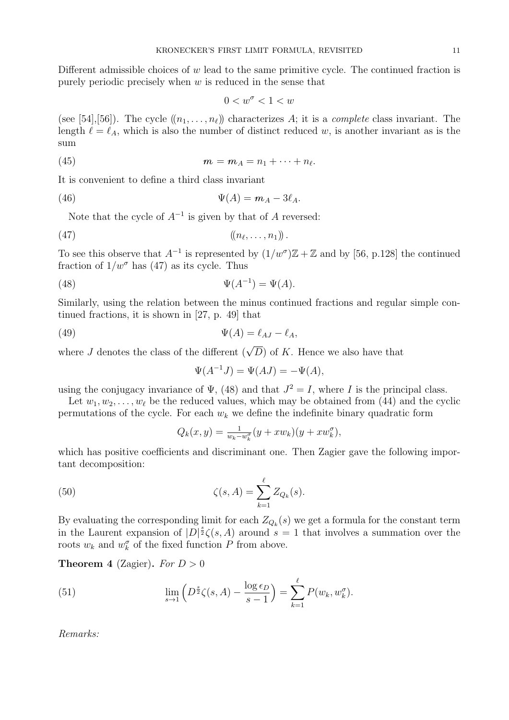Different admissible choices of *w* lead to the same primitive cycle. The continued fraction is purely periodic precisely when *w* is reduced in the sense that

$$
0 < w^{\sigma} < 1 < w
$$

(see [54], [56]). The cycle  $((n_1, \ldots, n_\ell))$  characterizes A; it is a *complete* class invariant. The length  $\ell = \ell_A$ , which is also the number of distinct reduced *w*, is another invariant as is the sum

$$
(45) \t\t\t m = m_A = n_1 + \cdots + n_\ell.
$$

It is convenient to define a third class invariant

$$
\Psi(A) = m_A - 3\ell_A.
$$

Note that the cycle of *A−*<sup>1</sup> is given by that of *A* reversed:

$$
(47) \qquad \qquad ((n_{\ell},\ldots,n_1))\,.
$$

To see this observe that  $A^{-1}$  is represented by  $(1/w^{\sigma})\mathbb{Z} + \mathbb{Z}$  and by [56, p.128] the continued fraction of  $1/w^{\sigma}$  has (47) as its cycle. Thus

$$
\Psi(A^{-1}) = \Psi(A).
$$

Similarly, using the relation between the minus continued fractions and regular simple continued fractions, it is shown in [27, p. 49] that

$$
\Psi(A) = \ell_{AJ} - \ell_A,
$$

where *J* denotes the class of the different  $(\sqrt{D})$  of *K*. Hence we also have that

$$
\Psi(A^{-1}J) = \Psi(AJ) = -\Psi(A),
$$

using the conjugacy invariance of  $\Psi$ , (48) and that  $J^2 = I$ , where *I* is the principal class.

Let  $w_1, w_2, \ldots, w_\ell$  be the reduced values, which may be obtained from (44) and the cyclic permutations of the cycle. For each  $w_k$  we define the indefinite binary quadratic form

$$
Q_k(x, y) = \frac{1}{w_k - w_k^{\sigma}} (y + xw_k)(y + xw_k^{\sigma}),
$$

which has positive coefficients and discriminant one. Then Zagier gave the following important decomposition:

(50) 
$$
\zeta(s, A) = \sum_{k=1}^{\ell} Z_{Q_k}(s).
$$

By evaluating the corresponding limit for each  $Z_{Q_k}(s)$  we get a formula for the constant term in the Laurent expansion of  $|D|^{\frac{s}{2}}\zeta(s, A)$  around  $s = 1$  that involves a summation over the roots  $w_k$  and  $w_k^{\sigma}$  of the fixed function  $P$  from above.

**Theorem 4** (Zagier). *For*  $D > 0$ 

(51) 
$$
\lim_{s \to 1} \left( D^{\frac{s}{2}} \zeta(s, A) - \frac{\log \epsilon_D}{s - 1} \right) = \sum_{k=1}^{\ell} P(w_k, w_k^{\sigma}).
$$

*Remarks:*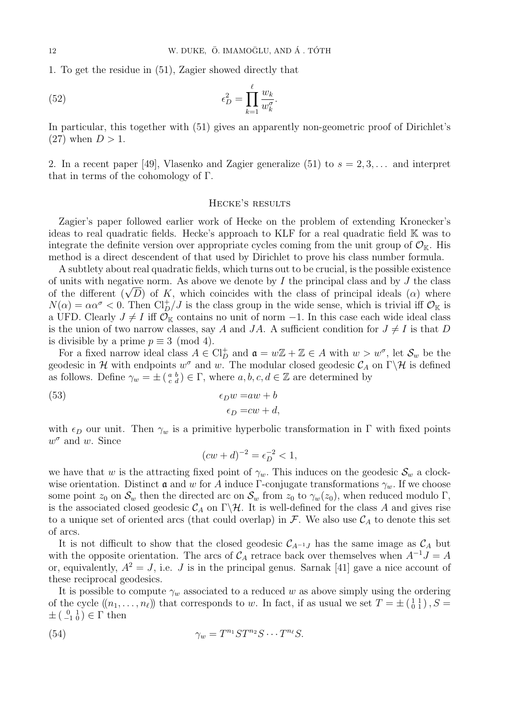1. To get the residue in (51), Zagier showed directly that

(52) 
$$
\epsilon_D^2 = \prod_{k=1}^{\ell} \frac{w_k}{w_k^{\sigma}}.
$$

In particular, this together with (51) gives an apparently non-geometric proof of Dirichlet's  $(27)$  when  $D > 1$ .

2. In a recent paper [49], Vlasenko and Zagier generalize  $(51)$  to  $s = 2, 3, \ldots$  and interpret that in terms of the cohomology of Γ*.*

#### Hecke's results

Zagier's paper followed earlier work of Hecke on the problem of extending Kronecker's ideas to real quadratic fields. Hecke's approach to KLF for a real quadratic field K was to integrate the definite version over appropriate cycles coming from the unit group of  $\mathcal{O}_{K}$ . His method is a direct descendent of that used by Dirichlet to prove his class number formula.

A subtlety about real quadratic fields, which turns out to be crucial, is the possible existence of units with negative norm. As above we denote by *I* the principal class and by *J* the class of the different  $(\sqrt{D})$  of K, which coincides with the class of principal ideals  $(\alpha)$  where<br>of the different  $(\sqrt{D})$  of K, which coincides with the class of principal ideals  $(\alpha)$  where  $N(\alpha) = \alpha \alpha^{\sigma} < 0$ . Then Cl<sup>+</sup><sub>*D</sub>*/*J* is the class group in the wide sense, which is trivial iff  $\mathcal{O}_{\mathbb{K}}$  is</sub> a UFD. Clearly  $J \neq I$  iff  $\mathcal{O}_\mathbb{K}$  contains no unit of norm  $-1$ . In this case each wide ideal class is the union of two narrow classes, say *A* and *JA*. A sufficient condition for  $J \neq I$  is that *D* is divisible by a prime  $p \equiv 3 \pmod{4}$ .

For a fixed narrow ideal class  $A \in \mathrm{Cl}_D^+$  and  $\mathfrak{a} = w\mathbb{Z} + \mathbb{Z} \in A$  with  $w > w^{\sigma}$ , let  $\mathcal{S}_w$  be the geodesic in  $\mathcal H$  with endpoints  $w^{\sigma}$  and  $w$ . The modular closed geodesic  $\mathcal C_A$  on  $\Gamma\backslash\mathcal H$  is defined as follows. Define  $\gamma_w = \pm \left( \begin{smallmatrix} a & b \\ c & d \end{smallmatrix} \right) \in \Gamma$ , where  $a, b, c, d \in \mathbb{Z}$  are determined by

(53) 
$$
\epsilon_D w = aw + b
$$

$$
\epsilon_D = cw + d,
$$

with  $\epsilon_D$  our unit. Then  $\gamma_w$  is a primitive hyperbolic transformation in  $\Gamma$  with fixed points *w <sup>σ</sup>* and *w*. Since

$$
(cw + d)^{-2} = \epsilon_D^{-2} < 1,
$$

we have that *w* is the attracting fixed point of  $\gamma_w$ . This induces on the geodesic  $\mathcal{S}_w$  a clockwise orientation. Distinct **a** and *w* for *A* induce Γ-conjugate transformations  $\gamma_w$ . If we choose some point  $z_0$  on  $\mathcal{S}_w$  then the directed arc on  $\mathcal{S}_w$  from  $z_0$  to  $\gamma_w(z_0)$ , when reduced modulo  $\Gamma$ , is the associated closed geodesic  $C_A$  on  $\Gamma \backslash \mathcal{H}$ . It is well-defined for the class *A* and gives rise to a unique set of oriented arcs (that could overlap) in  $\mathcal{F}$ . We also use  $\mathcal{C}_A$  to denote this set of arcs.

It is not difficult to show that the closed geodesic  $C_{A^{-1}J}$  has the same image as  $C_A$  but with the opposite orientation. The arcs of  $C_A$  retrace back over themselves when  $A^{-1}J = A$ or, equivalently,  $A^2 = J$ , i.e. *J* is in the principal genus. Sarnak [41] gave a nice account of these reciprocal geodesics.

It is possible to compute  $\gamma_w$  associated to a reduced *w* as above simply using the ordering of the cycle  $((n_1, \ldots, n_\ell))$  that corresponds to *w*. In fact, if as usual we set  $T = \pm \begin{pmatrix} 1 & 1 \\ 0 & 1 \end{pmatrix}$ ,  $S =$  $\pm$  ( $\begin{smallmatrix} 0 & 1 \\ -1 & 0 \end{smallmatrix}$ )  $\in$   $\Gamma$  then

(54) 
$$
\gamma_w = T^{n_1} S T^{n_2} S \cdots T^{n_\ell} S.
$$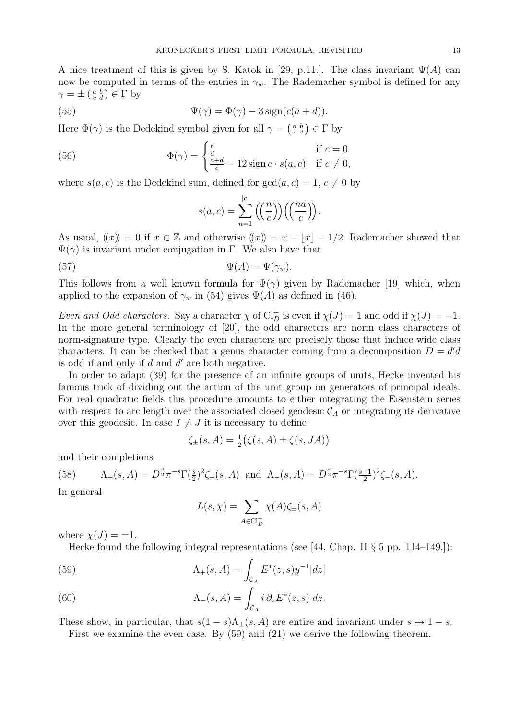A nice treatment of this is given by S. Katok in [29, p.11.]. The class invariant  $\Psi(A)$  can now be computed in terms of the entries in  $\gamma_w$ . The Rademacher symbol is defined for any  $\gamma = \pm \left( \begin{smallmatrix} a & b \\ c & d \end{smallmatrix} \right) \in \Gamma$  by

(55) 
$$
\Psi(\gamma) = \Phi(\gamma) - 3\operatorname{sign}(c(a+d)).
$$

Here  $\Phi(\gamma)$  is the Dedekind symbol given for all  $\gamma = \begin{pmatrix} a & b \\ c & d \end{pmatrix} \in \Gamma$  by

(56) 
$$
\Phi(\gamma) = \begin{cases} \frac{b}{d} & \text{if } c = 0\\ \frac{a+d}{c} - 12\operatorname{sign} c \cdot s(a, c) & \text{if } c \neq 0, \end{cases}
$$

where  $s(a, c)$  is the Dedekind sum, defined for  $gcd(a, c) = 1, c \neq 0$  by

$$
s(a,c) = \sum_{n=1}^{|c|} \left( \left( \frac{n}{c} \right) \right) \left( \left( \frac{na}{c} \right) \right).
$$

As usual,  $(x) = 0$  if  $x \in \mathbb{Z}$  and otherwise  $(x) = x - |x| - \frac{1}{2}$ . Rademacher showed that  $\Psi(\gamma)$  is invariant under conjugation in Γ. We also have that

(57) 
$$
\Psi(A) = \Psi(\gamma_w).
$$

This follows from a well known formula for  $\Psi(\gamma)$  given by Rademacher [19] which, when applied to the expansion of  $\gamma_w$  in (54) gives  $\Psi(A)$  as defined in (46).

*Even and Odd characters.* Say a character  $\chi$  of  $Cl_D^+$  is even if  $\chi(J) = 1$  and odd if  $\chi(J) = -1$ . In the more general terminology of [20], the odd characters are norm class characters of norm-signature type. Clearly the even characters are precisely those that induce wide class characters. It can be checked that a genus character coming from a decomposition  $D = d'd$ is odd if and only if *d* and *d ′* are both negative.

In order to adapt (39) for the presence of an infinite groups of units, Hecke invented his famous trick of dividing out the action of the unit group on generators of principal ideals. For real quadratic fields this procedure amounts to either integrating the Eisenstein series with respect to arc length over the associated closed geodesic  $C_A$  or integrating its derivative over this geodesic. In case  $I \neq J$  it is necessary to define

$$
\zeta_{\pm}(s, A) = \frac{1}{2} (\zeta(s, A) \pm \zeta(s, JA))
$$

and their completions

(58) 
$$
\Lambda_{+}(s, A) = D^{\frac{s}{2}} \pi^{-s} \Gamma(\frac{s}{2})^2 \zeta_{+}(s, A) \text{ and } \Lambda_{-}(s, A) = D^{\frac{s}{2}} \pi^{-s} \Gamma(\frac{s+1}{2})^2 \zeta_{-}(s, A).
$$

In general

$$
L(s, \chi) = \sum_{A \in \mathrm{Cl}_D^+} \chi(A) \zeta_{\pm}(s, A)
$$

where  $\chi(J) = \pm 1$ .

Hecke found the following integral representations (see [44, Chap. II *§* 5 pp. 114–149.]):

(59) 
$$
\Lambda_{+}(s, A) = \int_{\mathcal{C}_{A}} E^{*}(z, s) y^{-1} |dz|
$$

(60) 
$$
\Lambda_{-}(s, A) = \int_{\mathcal{C}_{A}} i \, \partial_{z} E^{*}(z, s) \, dz.
$$

These show, in particular, that  $s(1-s)\Lambda_{+}(s, A)$  are entire and invariant under  $s \mapsto 1-s$ .

First we examine the even case. By (59) and (21) we derive the following theorem.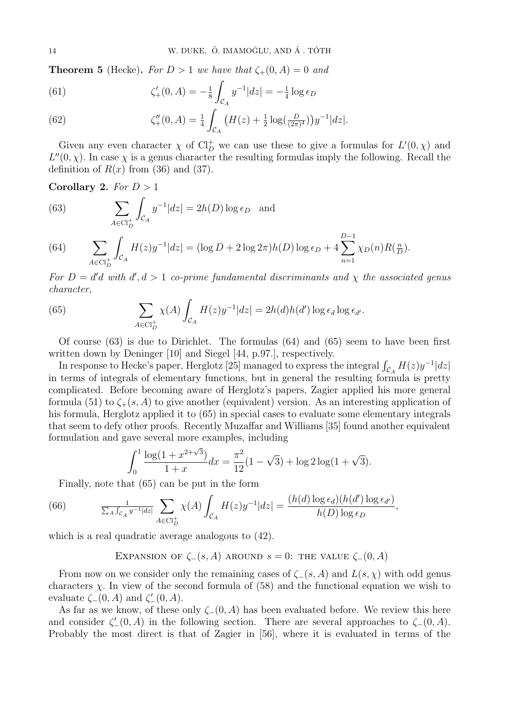**Theorem 5** (Hecke). *For*  $D > 1$  *we have that*  $\zeta_{+}(0, A) = 0$  *and* 

(61) 
$$
\zeta'_{+}(0, A) = -\frac{1}{8} \int_{\mathcal{C}_A} y^{-1} |dz| = -\frac{1}{4} \log \epsilon_D
$$

(62) 
$$
\zeta''_+(0,A) = \frac{1}{4} \int_{\mathcal{C}_A} \left( H(z) + \frac{1}{2} \log(\frac{D}{(2\pi)^4}) \right) y^{-1} |dz|.
$$

Given any even character  $\chi$  of  $Cl_D^+$  we can use these to give a formulas for  $L'(0, \chi)$  and  $L''(0, \chi)$ . In case  $\chi$  is a genus character the resulting formulas imply the following. Recall the definition of  $R(x)$  from (36) and (37).

**Corollary 2.** *For D >* 1

(63) 
$$
\sum_{A \in \text{Cl}_D^+} \int_{\mathcal{C}_A} y^{-1} |dz| = 2h(D) \log \epsilon_D \text{ and}
$$

(64) 
$$
\sum_{A \in \text{Cl}_D^+} \int_{\mathcal{C}_A} H(z) y^{-1} |dz| = (\log D + 2 \log 2\pi) h(D) \log \epsilon_D + 4 \sum_{n=1}^{D-1} \chi_D(n) R(\frac{n}{D}).
$$

*For*  $D = d'd$  *with*  $d', d > 1$  *co-prime fundamental discriminants and*  $\chi$  *the associated genus character,*

(65) 
$$
\sum_{A \in \mathrm{Cl}_D^+} \chi(A) \int_{\mathcal{C}_A} H(z) y^{-1} |dz| = 2h(d)h(d') \log \epsilon_d \log \epsilon_{d'}.
$$

Of course (63) is due to Dirichlet. The formulas (64) and (65) seem to have been first written down by Deninger [10] and Siegel [44, p.97.], respectively.

In response to Hecke's paper, Herglotz [25] managed to express the integral  $\int_{\mathcal{C}_A} H(z) y^{-1} |dz|$ in terms of integrals of elementary functions, but in general the resulting formula is pretty complicated. Before becoming aware of Herglotz's papers, Zagier applied his more general formula (51) to  $\zeta_{+}(s, A)$  to give another (equivalent) version. As an interesting application of his formula, Herglotz applied it to (65) in special cases to evaluate some elementary integrals that seem to defy other proofs. Recently Muzaffar and Williams [35] found another equivalent formulation and gave several more examples, including

$$
\int_0^1 \frac{\log(1 + x^{2+\sqrt{3}})}{1+x} dx = \frac{\pi^2}{12} (1 - \sqrt{3}) + \log 2 \log(1 + \sqrt{3}).
$$

Finally, note that (65) can be put in the form

(66) 
$$
\frac{1}{\sum_{A} \int_{\mathcal{C}_A} y^{-1} |dz|} \sum_{A \in \mathrm{Cl}_D^+} \chi(A) \int_{\mathcal{C}_A} H(z) y^{-1} |dz| = \frac{(h(d) \log \epsilon_d)(h(d') \log \epsilon_{d'})}{h(D) \log \epsilon_D},
$$

which is a real quadratic average analogous to (42).

EXPANSION OF  $\zeta$ <sup>*−*</sup>(*s, A*) AROUND *s* = 0: THE VALUE  $\zeta$ <sup>*−*</sup>(0*, A*)

From now on we consider only the remaining cases of  $\zeta$ <sup>*−*</sup>(*s, A*) and *L*(*s,*  $\chi$ ) with odd genus characters  $\chi$ . In view of the second formula of (58) and the functional equation we wish to evaluate *ζ−*(0*, A*) and *ζ ′ <sup>−</sup>*(0*, A*).

As far as we know, of these only  $\zeta$ <sup>−</sup>(0*, A*) has been evaluated before. We review this here and consider  $\zeta'_{-}(0, A)$  in the following section. There are several approaches to  $\zeta_{-}(0, A)$ . Probably the most direct is that of Zagier in [56], where it is evaluated in terms of the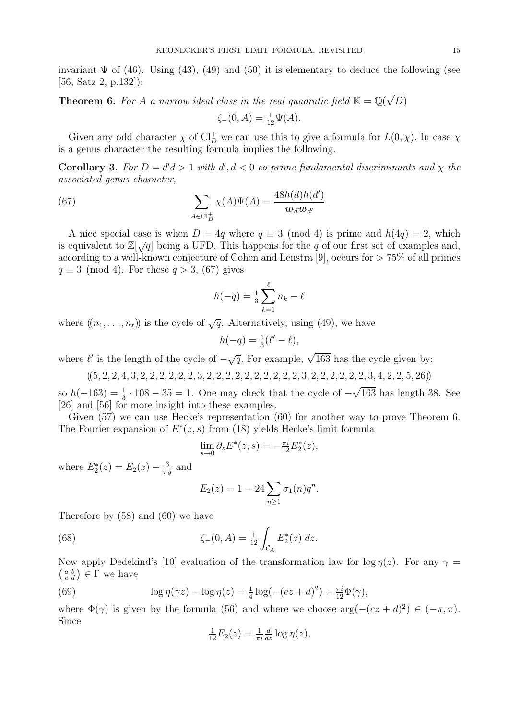invariant  $\Psi$  of (46). Using (43), (49) and (50) it is elementary to deduce the following (see [56, Satz 2, p.132]):

**Theorem 6.** For *A a* narrow ideal class in the real quadratic field  $K = \mathbb{Q}$ *√ D*)

$$
\zeta_{-}(0, A) = \frac{1}{12}\Psi(A).
$$

Given any odd character  $\chi$  of Cl<sub>D</sub> we can use this to give a formula for  $L(0, \chi)$ . In case  $\chi$ is a genus character the resulting formula implies the following.

**Corollary 3.** For  $D = d'd > 1$  with  $d', d < 0$  co-prime fundamental discriminants and  $\chi$  the *associated genus character,*

(67) 
$$
\sum_{A \in \text{Cl}_D^+} \chi(A)\Psi(A) = \frac{48h(d)h(d')}{\mathbf{w}_d \mathbf{w}_{d'}}.
$$

A nice special case is when  $D = 4q$  where  $q \equiv 3 \pmod{4}$  is prime and  $h(4q) = 2$ , which is equivalent to  $\mathbb{Z}[\sqrt{q}]$  being a UFD. This happens for the *q* of our first set of examples and, according to a well-known conjecture of Cohen and Lenstra [9], occurs for *>* 75% of all primes *q ≡* 3 (mod 4). For these *q >* 3, (67) gives

$$
h(-q) = \frac{1}{3} \sum_{k=1}^{\ell} n_k - \ell
$$

where  $((n_1, \ldots, n_\ell))$  is the cycle of  $\sqrt{q}$ . Alternatively, using (49), we have

$$
h(-q) = \frac{1}{3}(\ell' - \ell),
$$

where  $\ell'$  is the length of the cycle of  $-\sqrt{q}$ . For example,  $\sqrt{163}$  has the cycle given by:

$$
((5, 2, 2, 4, 3, 2, 2, 2, 2, 2, 2, 3, 2, 2, 2, 2, 2, 2, 2, 2, 2, 2, 3, 2, 2, 2, 2, 2, 3, 4, 2, 2, 5, 26))
$$

 $\sinh(-163) = \frac{1}{3} \cdot 108 - 35 = 1$ . One may check that the cycle of *− √* 163 has length 38. See [26] and [56] for more insight into these examples.

Given (57) we can use Hecke's representation (60) for another way to prove Theorem 6. The Fourier expansion of  $E^*(z, s)$  from (18) yields Hecke's limit formula

$$
\lim_{s \to 0} \partial_z E^*(z, s) = -\frac{\pi i}{12} E_2^*(z),
$$

where  $E_2^*(z) = E_2(z) - \frac{3}{\pi i}$  $\frac{3}{\pi y}$  and

$$
E_2(z) = 1 - 24 \sum_{n \ge 1} \sigma_1(n) q^n.
$$

Therefore by (58) and (60) we have

(68) 
$$
\zeta_{-}(0, A) = \frac{1}{12} \int_{\mathcal{C}_A} E_2^*(z) dz.
$$

Now apply Dedekind's [10] evaluation of the transformation law for  $\log \eta(z)$ . For any  $\gamma =$  $\left(\begin{smallmatrix} a & b \\ c & d \end{smallmatrix}\right) \in \Gamma$  we have

(69) 
$$
\log \eta(\gamma z) - \log \eta(z) = \frac{1}{4} \log(-(cz+d)^2) + \frac{\pi i}{12} \Phi(\gamma),
$$

where  $\Phi(\gamma)$  is given by the formula (56) and where we choose  $\arg(-(cz+d)^2) \in (-\pi, \pi)$ . Since

$$
\frac{1}{12}E_2(z) = \frac{1}{\pi i} \frac{d}{dz} \log \eta(z),
$$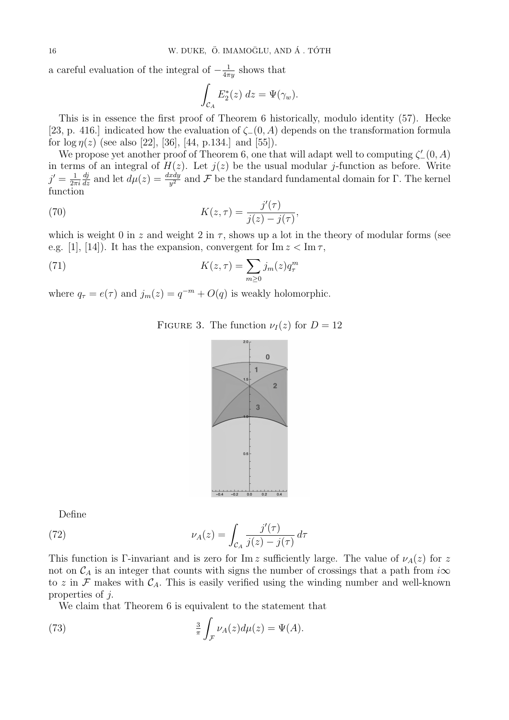a careful evaluation of the integral of  $-\frac{1}{4\pi}$  $\frac{1}{4\pi y}$  shows that

$$
\int_{\mathcal{C}_A} E_2^*(z) \ dz = \Psi(\gamma_w).
$$

This is in essence the first proof of Theorem 6 historically, modulo identity (57). Hecke [23, p. 416.] indicated how the evaluation of *ζ−*(0*, A*) depends on the transformation formula for  $\log \eta(z)$  (see also [22], [36], [44, p.134.] and [55]).

We propose yet another proof of Theorem 6, one that will adapt well to computing  $\zeta'_{-}(0, A)$ in terms of an integral of  $H(z)$ . Let  $j(z)$  be the usual modular *j*-function as before. Write  $j' = \frac{1}{2\pi}$ 2*πi*  $\frac{dj}{dz}$  and let  $d\mu(z) = \frac{dxdy}{y^2}$  and *F* be the standard fundamental domain for Γ. The kernel function

(70) 
$$
K(z,\tau) = \frac{j'(\tau)}{j(z) - j(\tau)},
$$

which is weight 0 in *z* and weight 2 in  $\tau$ , shows up a lot in the theory of modular forms (see e.g. [1], [14]). It has the expansion, convergent for  $\text{Im } z < \text{Im } \tau$ ,

(71) 
$$
K(z,\tau) = \sum_{m\geq 0} j_m(z)q_\tau^m
$$

where  $q_{\tau} = e(\tau)$  and  $j_m(z) = q^{-m} + O(q)$  is weakly holomorphic.

FIGURE 3. The function  $\nu_I(z)$  for  $D=12$ 



Define

(72) 
$$
\nu_A(z) = \int_{\mathcal{C}_A} \frac{j'(\tau)}{j(z) - j(\tau)} d\tau
$$

This function is Γ-invariant and is zero for Im *z* sufficiently large. The value of  $\nu_A(z)$  for *z* not on  $\mathcal{C}_A$  is an integer that counts with signs the number of crossings that a path from  $i\infty$ to z in  $\mathcal F$  makes with  $\mathcal C_A$ . This is easily verified using the winding number and well-known properties of *j.*

We claim that Theorem 6 is equivalent to the statement that

(73) 
$$
\frac{3}{\pi} \int_{\mathcal{F}} \nu_A(z) d\mu(z) = \Psi(A).
$$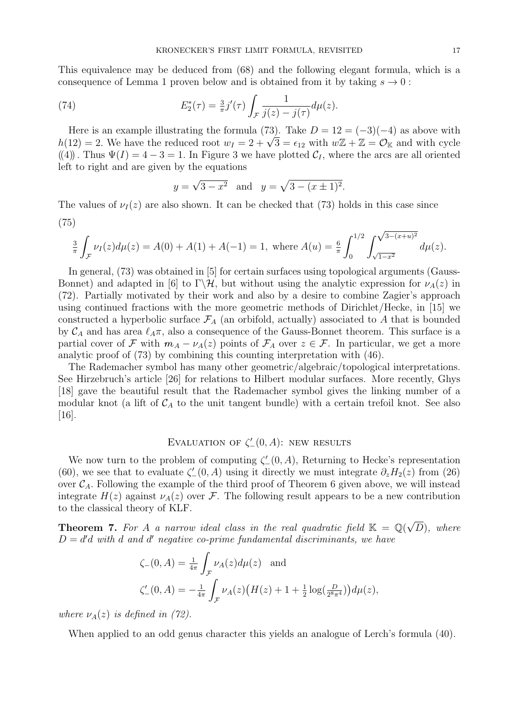This equivalence may be deduced from (68) and the following elegant formula, which is a consequence of Lemma 1 proven below and is obtained from it by taking  $s \to 0$ :

(74) 
$$
E_2^*(\tau) = \frac{3}{\pi} j'(\tau) \int_{\mathcal{F}} \frac{1}{j(z) - j(\tau)} d\mu(z).
$$

Here is an example illustrating the formula (73). Take  $D = 12 = (-3)(-4)$  as above with *h*(12) = 2*.* We have the reduced root  $w_I = 2 + \sqrt{3} = \epsilon_{12}$  with  $w\mathbb{Z} + \mathbb{Z} = \mathcal{O}_\mathbb{K}$  and with cycle ((4)). Thus  $\Psi(I) = 4 - 3 = 1$ . In Figure 3 we have plotted  $C_I$ , where the arcs are all oriented left to right and are given by the equations

$$
y = \sqrt{3 - x^2}
$$
 and  $y = \sqrt{3 - (x \pm 1)^2}$ .

The values of  $\nu_I(z)$  are also shown. It can be checked that (73) holds in this case since (75)

$$
\frac{3}{\pi} \int_{\mathcal{F}} \nu_I(z) d\mu(z) = A(0) + A(1) + A(-1) = 1, \text{ where } A(u) = \frac{6}{\pi} \int_0^{1/2} \int_{\sqrt{1-x^2}}^{\sqrt{3-(x+u)^2}} d\mu(z).
$$

In general, (73) was obtained in [5] for certain surfaces using topological arguments (Gauss-Bonnet) and adapted in [6] to  $\Gamma\backslash\mathcal{H}$ , but without using the analytic expression for  $\nu_A(z)$  in (72). Partially motivated by their work and also by a desire to combine Zagier's approach using continued fractions with the more geometric methods of Dirichlet/Hecke, in [15] we constructed a hyperbolic surface  $\mathcal{F}_A$  (an orbifold, actually) associated to  $A$  that is bounded by  $C_A$  and has area  $\ell_A\pi$ , also a consequence of the Gauss-Bonnet theorem. This surface is a partial cover of *F* with  $m_A - \nu_A(z)$  points of  $\mathcal{F}_A$  over  $z \in \mathcal{F}$ . In particular, we get a more analytic proof of (73) by combining this counting interpretation with (46).

The Rademacher symbol has many other geometric/algebraic/topological interpretations. See Hirzebruch's article [26] for relations to Hilbert modular surfaces. More recently, Ghys [18] gave the beautiful result that the Rademacher symbol gives the linking number of a modular knot (a lift of  $C_A$  to the unit tangent bundle) with a certain trefoil knot. See also [16].

# EVALUATION OF  $\zeta'_{-}(0, A)$ : new results

We now turn to the problem of computing  $\zeta'_{-}(0, A)$ , Returning to Hecke's representation (60), we see that to evaluate  $\zeta'_{-}(0, A)$  using it directly we must integrate  $\partial_z H_2(z)$  from (26) over  $C_A$ . Following the example of the third proof of Theorem 6 given above, we will instead integrate  $H(z)$  against  $\nu_A(z)$  over F. The following result appears to be a new contribution to the classical theory of KLF.

**Theorem 7.** For *A a* narrow ideal class in the real quadratic field  $K = \mathbb{Q}$ *√ D*)*, where D* = *d ′d with d and d ′ negative co-prime fundamental discriminants, we have*

$$
\zeta_{-}(0, A) = \frac{1}{4\pi} \int_{\mathcal{F}} \nu_{A}(z) d\mu(z) \text{ and}
$$
  

$$
\zeta'_{-}(0, A) = -\frac{1}{4\pi} \int_{\mathcal{F}} \nu_{A}(z) (H(z) + 1 + \frac{1}{2} \log(\frac{D}{2^{8}\pi^{4}})) d\mu(z),
$$

*where*  $\nu_A(z)$  *is defined in (72).* 

When applied to an odd genus character this yields an analogue of Lerch's formula (40).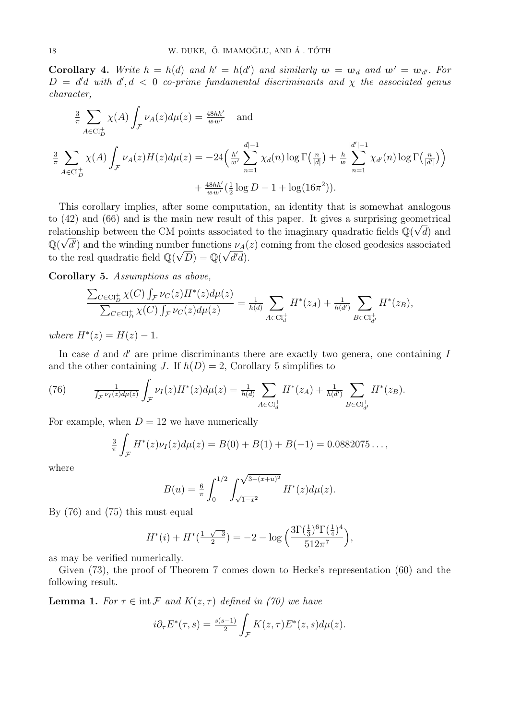**Corollary 4.** Write  $h = h(d)$  and  $h' = h(d')$  and similarly  $w = w_d$  and  $w' = w_{d'}$ . For  $D = d'd$  *with*  $d', d < 0$  *co-prime fundamental discriminants and*  $\chi$  *the associated genus character,*

$$
\frac{3}{\pi} \sum_{A \in \text{Cl}_{D}^{+}} \chi(A) \int_{\mathcal{F}} \nu_{A}(z) d\mu(z) = \frac{48hh'}{w w'} \quad \text{and}
$$
\n
$$
\frac{3}{\pi} \sum_{A \in \text{Cl}_{D}^{+}} \chi(A) \int_{\mathcal{F}} \nu_{A}(z) H(z) d\mu(z) = -24 \left( \frac{h'}{w'} \sum_{n=1}^{|d|-1} \chi_{d}(n) \log \Gamma(\frac{n}{|d|}) + \frac{h}{w} \sum_{n=1}^{|d'|-1} \chi_{d'}(n) \log \Gamma(\frac{n}{|d'|}) \right) + \frac{48hh'}{w w'} (\frac{1}{2} \log D - 1 + \log(16\pi^{2})).
$$

This corollary implies, after some computation, an identity that is somewhat analogous to (42) and (66) and is the main new result of this paper. It gives a surprising geometrical relationship between the CM points associated to the imaginary quadratic fields  $\mathbb{Q}(\sqrt{d})$  and  $\mathbb{Q}(\sqrt{d'})$  and the winding number functions  $\nu_A(z)$  coming from the closed geodesics associated to the real quadratic field  $\mathbb{Q}(\sqrt{D}) = \mathbb{Q}(\sqrt{d'd})$ .

**Corollary 5.** *Assumptions as above,*

$$
\frac{\sum_{C \in \text{Cl}_{D}^{+}} \chi(C) \int_{\mathcal{F}} \nu_{C}(z) H^{*}(z) d\mu(z)}{\sum_{C \in \text{Cl}_{D}^{+}} \chi(C) \int_{\mathcal{F}} \nu_{C}(z) d\mu(z)} = \frac{1}{h(d)} \sum_{A \in \text{Cl}_{d}^{+}} H^{*}(z_{A}) + \frac{1}{h(d')} \sum_{B \in \text{Cl}_{d'}^{+}} H^{*}(z_{B}),
$$

 $where H^*(z) = H(z) - 1.$ 

In case *d* and *d'* are prime discriminants there are exactly two genera, one containing *I* and the other containing *J*. If  $h(D) = 2$ , Corollary 5 simplifies to

(76) 
$$
\frac{1}{\int_{\mathcal{F}} \nu_I(z) d\mu(z)} \int_{\mathcal{F}} \nu_I(z) H^*(z) d\mu(z) = \frac{1}{h(d)} \sum_{A \in \mathrm{Cl}_d^+} H^*(z_A) + \frac{1}{h(d')} \sum_{B \in \mathrm{Cl}_{d'}^+} H^*(z_B).
$$

For example, when  $D = 12$  we have numerically

$$
\frac{3}{\pi} \int_{\mathcal{F}} H^*(z) \nu_I(z) d\mu(z) = B(0) + B(1) + B(-1) = 0.0882075...,
$$

where

$$
B(u) = \frac{6}{\pi} \int_0^{1/2} \int_{\sqrt{1-x^2}}^{\sqrt{3-(x+u)^2}} H^*(z) d\mu(z).
$$

By (76) and (75) this must equal

$$
H^{*}(i) + H^{*}(\frac{1+\sqrt{-3}}{2}) = -2 - \log\left(\frac{3\Gamma(\frac{1}{3})^6 \Gamma(\frac{1}{4})^4}{512\pi^7}\right),
$$

as may be verified numerically.

Given (73), the proof of Theorem 7 comes down to Hecke's representation (60) and the following result.

**Lemma 1.** *For*  $\tau \in \text{int } \mathcal{F}$  *and*  $K(z, \tau)$  *defined in (70) we have* 

$$
i\partial_{\tau}E^*(\tau,s) = \frac{s(s-1)}{2} \int_{\mathcal{F}} K(z,\tau)E^*(z,s)d\mu(z).
$$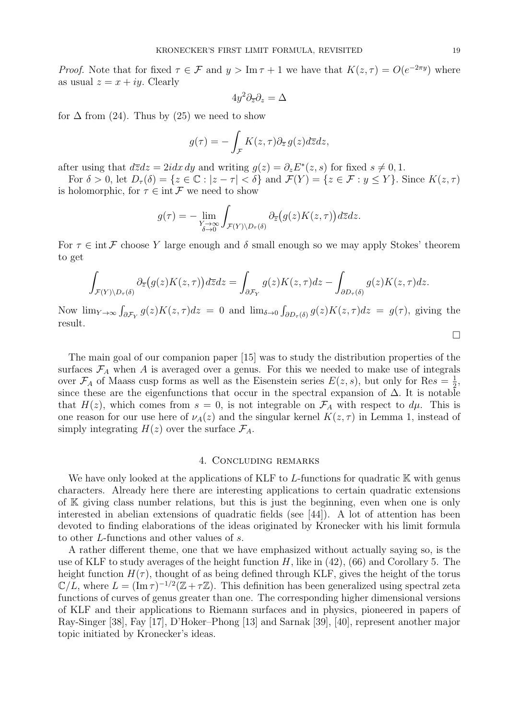*Proof.* Note that for fixed  $\tau \in \mathcal{F}$  and  $y > \text{Im } \tau + 1$  we have that  $K(z, \tau) = O(e^{-2\pi y})$  where as usual  $z = x + iy$ . Clearly

$$
4y^2\partial_{\overline{z}}\partial_z=\Delta
$$

for  $\Delta$  from (24). Thus by (25) we need to show

$$
g(\tau) = -\int_{\mathcal{F}} K(z,\tau) \partial_{\overline{z}} g(z) d\overline{z} dz,
$$

after using that  $d\overline{z}dz = 2idx\,dy$  and writing  $g(z) = \partial_z E^*(z, s)$  for fixed  $s \neq 0, 1$ .

For  $\delta > 0$ , let  $D_{\tau}(\delta) = \{z \in \mathbb{C} : |z - \tau| < \delta\}$  and  $\mathcal{F}(Y) = \{z \in \mathcal{F} : y \leq Y\}$ . Since  $K(z, \tau)$ is holomorphic, for  $\tau \in \text{int } \mathcal{F}$  we need to show

$$
g(\tau) = -\lim_{\substack{Y \to \infty \\ \delta \to 0}} \int_{\mathcal{F}(Y) \setminus D_{\tau}(\delta)} \partial_{\overline{z}}(g(z)K(z,\tau)) d\overline{z} dz.
$$

For  $\tau \in \text{int } \mathcal{F}$  choose Y large enough and  $\delta$  small enough so we may apply Stokes' theorem to get

$$
\int_{\mathcal{F}(Y)\backslash D_{\tau}(\delta)} \partial_{\overline{z}}(g(z)K(z,\tau))d\overline{z}dz = \int_{\partial \mathcal{F}_Y} g(z)K(z,\tau)dz - \int_{\partial D_{\tau}(\delta)} g(z)K(z,\tau)dz.
$$

Now  $\lim_{Y\to\infty} \int_{\partial \mathcal{F}_Y} g(z) K(z,\tau) dz = 0$  and  $\lim_{\delta \to 0} \int_{\partial D_{\tau}(\delta)} g(z) K(z,\tau) dz = g(\tau)$ , giving the result. □

The main goal of our companion paper [15] was to study the distribution properties of the surfaces  $\mathcal{F}_A$  when *A* is averaged over a genus. For this we needed to make use of integrals over  $\mathcal{F}_A$  of Maass cusp forms as well as the Eisenstein series  $E(z, s)$ , but only for Res =  $\frac{1}{2}$  $\frac{1}{2}$ , since these are the eigenfunctions that occur in the spectral expansion of  $\Delta$ . It is notable that  $H(z)$ , which comes from  $s = 0$ , is not integrable on  $\mathcal{F}_A$  with respect to  $d\mu$ . This is one reason for our use here of  $\nu_A(z)$  and the singular kernel  $K(z, \tau)$  in Lemma 1, instead of simply integrating  $H(z)$  over the surface  $\mathcal{F}_A$ .

#### 4. Concluding remarks

We have only looked at the applications of KLF to *L*-functions for quadratic K with genus characters. Already here there are interesting applications to certain quadratic extensions of K giving class number relations, but this is just the beginning, even when one is only interested in abelian extensions of quadratic fields (see [44]). A lot of attention has been devoted to finding elaborations of the ideas originated by Kronecker with his limit formula to other *L*-functions and other values of *s*.

A rather different theme, one that we have emphasized without actually saying so, is the use of KLF to study averages of the height function *H*, like in (42), (66) and Corollary 5. The height function  $H(\tau)$ , thought of as being defined through KLF, gives the height of the torus  $\mathbb{C}/L$ , where  $L = (\text{Im }\tau)^{-1/2}(\mathbb{Z} + \tau \mathbb{Z})$ . This definition has been generalized using spectral zeta functions of curves of genus greater than one. The corresponding higher dimensional versions of KLF and their applications to Riemann surfaces and in physics, pioneered in papers of Ray-Singer [38], Fay [17], D'Hoker–Phong [13] and Sarnak [39], [40], represent another major topic initiated by Kronecker's ideas.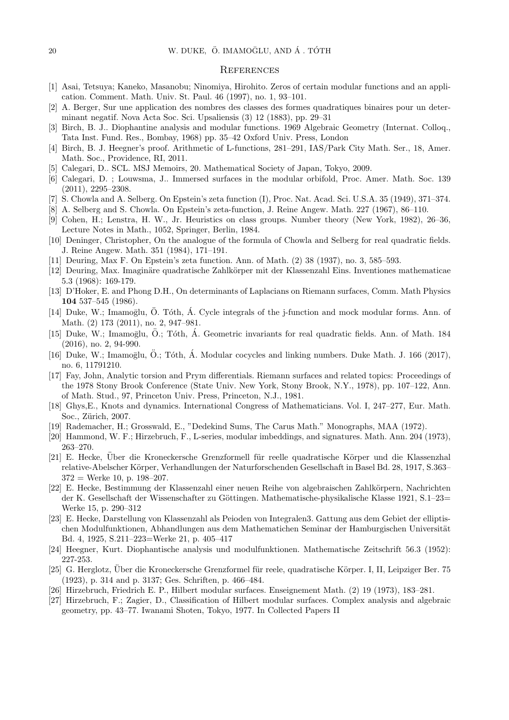#### **REFERENCES**

- [1] Asai, Tetsuya; Kaneko, Masanobu; Ninomiya, Hirohito. Zeros of certain modular functions and an application. Comment. Math. Univ. St. Paul. 46 (1997), no. 1, 93–101.
- [2] A. Berger, Sur une application des nombres des classes des formes quadratiques binaires pour un determinant negatif. Nova Acta Soc. Sci. Upsaliensis (3) 12 (1883), pp. 29–31
- [3] Birch, B. J.. Diophantine analysis and modular functions. 1969 Algebraic Geometry (Internat. Colloq., Tata Inst. Fund. Res., Bombay, 1968) pp. 35–42 Oxford Univ. Press, London
- [4] Birch, B. J. Heegner's proof. Arithmetic of L-functions, 281–291, IAS/Park City Math. Ser., 18, Amer. Math. Soc., Providence, RI, 2011.
- [5] Calegari, D.. SCL. MSJ Memoirs, 20. Mathematical Society of Japan, Tokyo, 2009.
- [6] Calegari, D. ; Louwsma, J.. Immersed surfaces in the modular orbifold, Proc. Amer. Math. Soc. 139 (2011), 2295–2308.
- [7] S. Chowla and A. Selberg. On Epstein's zeta function (I), Proc. Nat. Acad. Sci. U.S.A. 35 (1949), 371–374.
- [8] A. Selberg and S. Chowla. On Epstein's zeta-function, J. Reine Angew. Math. 227 (1967), 86–110.
- [9] Cohen, H.; Lenstra, H. W., Jr. Heuristics on class groups. Number theory (New York, 1982), 26–36, Lecture Notes in Math., 1052, Springer, Berlin, 1984.
- [10] Deninger, Christopher, On the analogue of the formula of Chowla and Selberg for real quadratic fields. J. Reine Angew. Math. 351 (1984), 171–191.
- [11] Deuring, Max F. On Epstein's zeta function. Ann. of Math. (2) 38 (1937), no. 3, 585–593.
- [12] Deuring, Max. Imaginäre quadratische Zahlkörper mit der Klassenzahl Eins. Inventiones mathematicae 5.3 (1968): 169-179.
- [13] D'Hoker, E. and Phong D.H., On determinants of Laplacians on Riemann surfaces, Comm. Math Physics **104** 537–545 (1986).
- $[14]$  Duke, W.; Imamoglu, Ö. Tóth, Á. Cycle integrals of the j-function and mock modular forms. Ann. of Math. (2) 173 (2011), no. 2, 947–981.
- [15] Duke, W.; Imamoglu, Ö.; Tóth, Á. Geometric invariants for real quadratic fields. Ann. of Math. 184 (2016), no. 2, 94-990.
- [16] Duke, W.; Imamoglu,  $\ddot{O}$ .; Tóth,  $\dot{A}$ . Modular cocycles and linking numbers. Duke Math. J. 166 (2017), no. 6, 11791210.
- [17] Fay, John, Analytic torsion and Prym differentials. Riemann surfaces and related topics: Proceedings of the 1978 Stony Brook Conference (State Univ. New York, Stony Brook, N.Y., 1978), pp. 107–122, Ann. of Math. Stud., 97, Princeton Univ. Press, Princeton, N.J., 1981.
- [18] Ghys,E., Knots and dynamics. International Congress of Mathematicians. Vol. I, 247–277, Eur. Math. Soc., Zürich, 2007.
- [19] Rademacher, H.; Grosswald, E., "Dedekind Sums, The Carus Math." Monographs, MAA (1972).
- [20] Hammond, W. F.; Hirzebruch, F., L-series, modular imbeddings, and signatures. Math. Ann. 204 (1973), 263–270.
- [21] E. Hecke, Uber die Kroneckersche Grenzformell für reelle quadratische Körper und die Klassenzhal relative-Abelscher Körper, Verhandlungen der Naturforschenden Gesellschaft in Basel Bd. 28, 1917, S.363–  $372 =$  Werke 10, p. 198-207.
- [22] E. Hecke, Bestimmung der Klassenzahl einer neuen Reihe von algebraischen Zahlkörpern, Nachrichten der K. Gesellschaft der Wissenschafter zu Göttingen. Mathematische-physikalische Klasse 1921, S.1–23= Werke 15, p. 290–312
- [23] E. Hecke, Darstellung von Klassenzahl als Peioden von Integralen3. Gattung aus dem Gebiet der elliptischen Modulfunktionen, Abhandlungen aus dem Mathematichen Seminar der Hamburgischen Universität Bd. 4, 1925, S.211–223=Werke 21, p. 405–417
- [24] Heegner, Kurt. Diophantische analysis und modulfunktionen. Mathematische Zeitschrift 56.3 (1952): 227-253.
- [25] G. Herglotz, Über die Kroneckersche Grenzformel für reele, quadratische Körper. I, II, Leipziger Ber. 75 (1923), p. 314 and p. 3137; Ges. Schriften, p. 466–484.
- [26] Hirzebruch, Friedrich E. P., Hilbert modular surfaces. Enseignement Math. (2) 19 (1973), 183–281.
- [27] Hirzebruch, F.; Zagier, D., Classification of Hilbert modular surfaces. Complex analysis and algebraic geometry, pp. 43–77. Iwanami Shoten, Tokyo, 1977. In Collected Papers II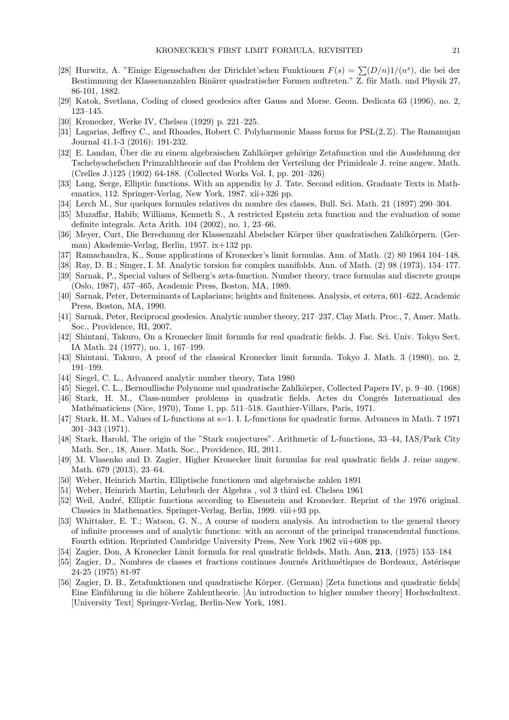- [28] Hurwitz, A. "Einige Eigenschaften der Dirichlet'schen Funktionen  $F(s) = \sum (D/n)1/(n^s)$ , die bei der Bestimmung der Klassenanzahlen Binärer quadratischer Formen auftreten." Z. für Math. und Physik 27, 86-101, 1882.
- [29] Katok, Svetlana, Coding of closed geodesics after Gauss and Morse. Geom. Dedicata 63 (1996), no. 2, 123–145.
- [30] Kronecker, Werke IV, Chelsea (1929) p. 221–225.
- [31] Lagarias, Jeffrey C., and Rhoades, Robert C. Polyharmonic Maass forms for PSL(2*,* Z). The Ramanujan Journal 41.1-3 (2016): 191-232.
- [32] E. Landau, Über die zu einem algebraischen Zahlkörper gehörige Zetafunction und die Ausdehnung der Tschebyschefschen Primzahltheorie auf das Problem der Verteilung der Primideale J. reine angew. Math. (Crelles J.)125 (1902) 64-188. (Collected Works Vol. I, pp. 201–326)
- [33] Lang, Serge, Elliptic functions. With an appendix by J. Tate. Second edition. Graduate Texts in Mathematics, 112. Springer-Verlag, New York, 1987. xii+326 pp.
- [34] Lerch M., Sur quelques formules relatives du nombre des classes, Bull. Sci. Math. 21 (1897) 290–304.
- [35] Muzaffar, Habib; Williams, Kenneth S., A restricted Epstein zeta function and the evaluation of some definite integrals. Acta Arith. 104 (2002), no. 1, 23–66.
- [36] Meyer, Curt, Die Berechnung der Klassenzahl Abelscher Körper über quadratischen Zahlkörpern. (German) Akademie-Verlag, Berlin, 1957. ix+132 pp.
- [37] Ramachandra, K., Some applications of Kronecker's limit formulas. Ann. of Math. (2) 80 1964 104–148.
- [38] Ray, D. B.; Singer, I. M. Analytic torsion for complex manifolds. Ann. of Math. (2) 98 (1973), 154–177.
- [39] Sarnak, P., Special values of Selberg's zeta-function. Number theory, trace formulas and discrete groups (Oslo, 1987), 457–465, Academic Press, Boston, MA, 1989.
- [40] Sarnak, Peter, Determinants of Laplacians; heights and finiteness. Analysis, et cetera, 601–622, Academic Press, Boston, MA, 1990.
- [41] Sarnak, Peter, Reciprocal geodesics. Analytic number theory, 217–237, Clay Math. Proc., 7, Amer. Math. Soc., Providence, RI, 2007.
- [42] Shintani, Takuro, On a Kronecker limit formula for real quadratic fields. J. Fac. Sci. Univ. Tokyo Sect. IA Math. 24 (1977), no. 1, 167–199.
- [43] Shintani, Takuro, A proof of the classical Kronecker limit formula. Tokyo J. Math. 3 (1980), no. 2, 191–199.
- [44] Siegel, C. L., Advanced analytic number theory, Tata 1980
- [45] Siegel, C. L., Bernoullische Polynome und quadratische Zahlkörper, Collected Papers IV, p. 9–40. (1968)
- [46] Stark, H. M., Class-number problems in quadratic fields. Actes du Congrés International des Mathématiciens (Nice, 1970), Tome 1, pp. 511–518. Gauthier-Villars, Paris, 1971.
- [47] Stark, H. M., Values of L-functions at s=1. I. L-functions for quadratic forms. Advances in Math. 7 1971 301–343 (1971).
- [48] Stark, Harold, The origin of the "Stark conjectures". Arithmetic of L-functions, 33–44, IAS/Park City Math. Ser., 18, Amer. Math. Soc., Providence, RI, 2011.
- [49] M. Vlasenko and D. Zagier, Higher Kronecker limit formulas for real quadratic fields J. reine angew. Math. 679 (2013), 23–64.
- [50] Weber, Heinrich Martin, Elliptische functionen und algebraische zahlen 1891
- [51] Weber, Heinrich Martin, Lehrbuch der Algebra , vol 3 third ed. Chelsea 1961
- [52] Weil, André, Elliptic functions according to Eisenstein and Kronecker. Reprint of the 1976 original. Classics in Mathematics. Springer-Verlag, Berlin, 1999. viii+93 pp.
- [53] Whittaker, E. T.; Watson, G. N., A course of modern analysis. An introduction to the general theory of infinite processes and of analytic functions: with an account of the principal transcendental functions. Fourth edition. Reprinted Cambridge University Press, New York 1962 vii+608 pp.
- [54] Zagier, Don, A Kronecker Limit formula for real quadratic fieldsds, Math. Ann, **213**, (1975) 153–184
- [55] Zagier, D., Nombres de classes et fractions continues Journés Arithmétiques de Bordeaux, Astérisque 24-25 (1975) 81-97
- [56] Zagier, D. B., Zetafunktionen und quadratische Körper. (German) [Zeta functions and quadratic fields] Eine Einführung in die höhere Zahlentheorie. [An introduction to higher number theory] Hochschultext. [University Text] Springer-Verlag, Berlin-New York, 1981.